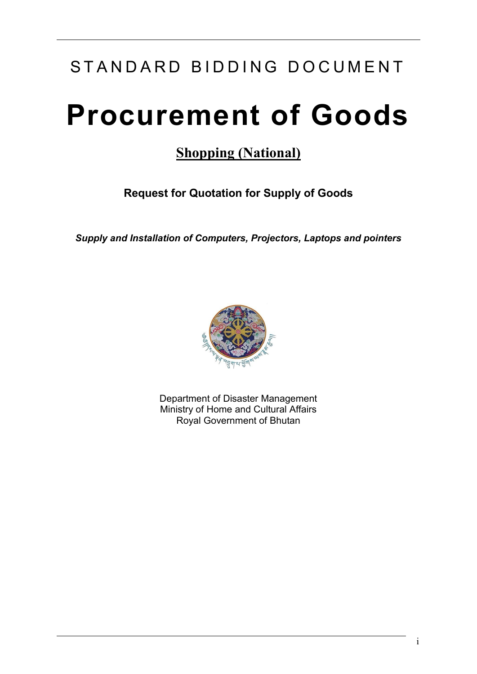## STANDARD BIDDING DOCUMENT

# **Procurement of Goods**

### **Shopping (National)**

**Request for Quotation for Supply of Goods**

*Supply and Installation of Computers, Projectors, Laptops and pointers* 



Department of Disaster Management Ministry of Home and Cultural Affairs Royal Government of Bhutan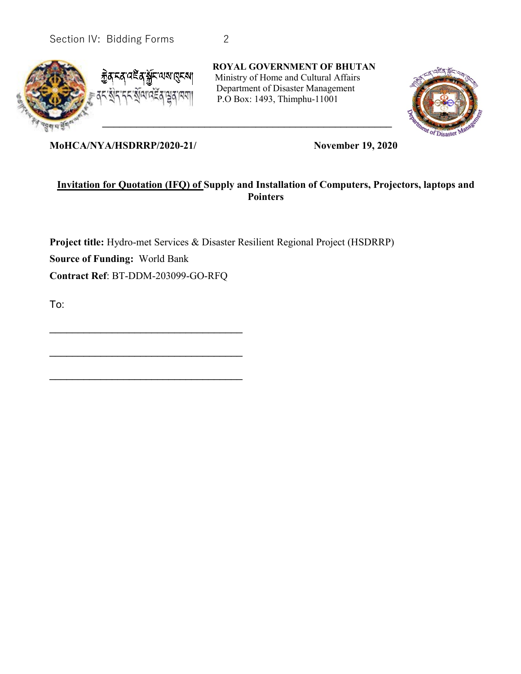



**ROYAL GOVERNMENT OF BHUTAN** Ministry of Home and Cultural Affairs Department of Disaster Management P.O Box: 1493, Thimphu-11001



**MoHCA/NYA/HSDRRP/2020-21/ November 19, 2020**

\_\_\_\_\_\_\_\_\_\_\_\_\_\_\_\_\_\_\_\_\_\_\_\_\_\_\_\_\_\_\_\_\_\_

 $\mathcal{L}_\text{max}$  , and the set of the set of the set of the set of the set of the set of the set of the set of the set of the set of the set of the set of the set of the set of the set of the set of the set of the set of the

\_\_\_\_\_\_\_\_\_\_\_\_\_\_\_\_\_\_\_\_\_\_\_\_\_\_\_\_\_\_\_\_\_\_

#### **Invitation for Quotation (IFQ) of Supply and Installation of Computers, Projectors, laptops and Pointers**

**Project title:** Hydro-met Services & Disaster Resilient Regional Project (HSDRRP) **Source of Funding:** World Bank **Contract Ref**: BT-DDM-203099-GO-RFQ

To: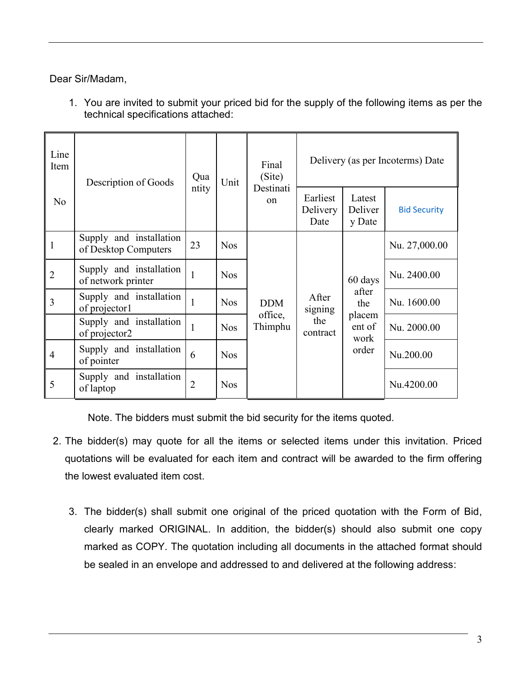Dear Sir/Madam,

1. You are invited to submit your priced bid for the supply of the following items as per the technical specifications attached:

| Line<br>Item   | Description of Goods                            | Qua            | Unit       | Final<br>(Site)            | Delivery (as per Incoterms) Date    |                                                     |                     |           |
|----------------|-------------------------------------------------|----------------|------------|----------------------------|-------------------------------------|-----------------------------------------------------|---------------------|-----------|
| N <sub>o</sub> |                                                 | ntity          |            | Destinati<br><sub>on</sub> | Earliest<br>Delivery<br>Date        | Latest<br>Deliver<br>y Date                         | <b>Bid Security</b> |           |
| $\mathbf{1}$   | Supply and installation<br>of Desktop Computers | 23             | <b>Nos</b> |                            |                                     |                                                     | Nu. 27,000.00       |           |
| $\overline{2}$ | Supply and installation<br>of network printer   | $\mathbf{1}$   | <b>Nos</b> |                            |                                     | 60 days<br>after<br>the<br>placem<br>ent of<br>work | Nu. 2400.00         |           |
| 3              | Supply and installation<br>of projector1        |                | <b>Nos</b> | <b>DDM</b>                 | After<br>signing<br>the<br>contract |                                                     | Nu. 1600.00         |           |
|                | Supply and installation<br>of projector2        |                | <b>Nos</b> | office,<br>Thimphu         |                                     |                                                     | Nu. 2000.00         |           |
| $\overline{4}$ | Supply and installation<br>of pointer           | 6              | <b>Nos</b> |                            |                                     |                                                     | order               | Nu.200.00 |
| 5              | Supply and installation<br>of laptop            | $\overline{2}$ | <b>Nos</b> |                            |                                     |                                                     | Nu.4200.00          |           |

Note. The bidders must submit the bid security for the items quoted.

- 2. The bidder(s) may quote for all the items or selected items under this invitation. Priced quotations will be evaluated for each item and contract will be awarded to the firm offering the lowest evaluated item cost.
	- 3. The bidder(s) shall submit one original of the priced quotation with the Form of Bid, clearly marked ORIGINAL. In addition, the bidder(s) should also submit one copy marked as COPY. The quotation including all documents in the attached format should be sealed in an envelope and addressed to and delivered at the following address: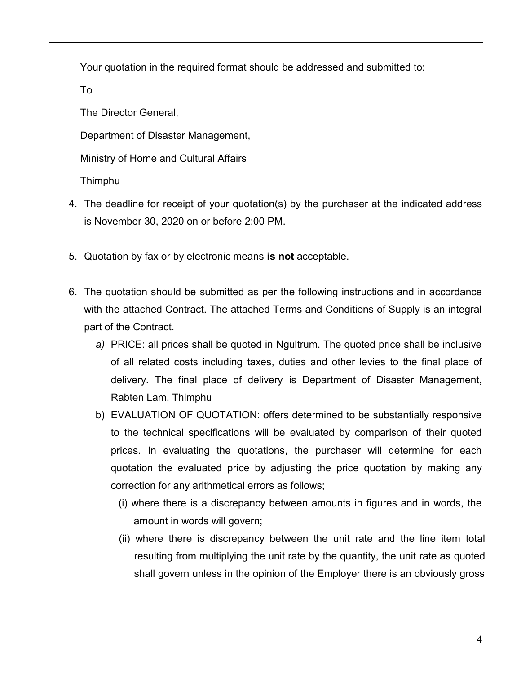Your quotation in the required format should be addressed and submitted to:

To

The Director General,

Department of Disaster Management,

Ministry of Home and Cultural Affairs

Thimphu

- 4. The deadline for receipt of your quotation(s) by the purchaser at the indicated address is November 30, 2020 on or before 2:00 PM.
- 5. Quotation by fax or by electronic means **is not** acceptable.
- 6. The quotation should be submitted as per the following instructions and in accordance with the attached Contract. The attached Terms and Conditions of Supply is an integral part of the Contract.
	- *a)* PRICE: all prices shall be quoted in Ngultrum. The quoted price shall be inclusive of all related costs including taxes, duties and other levies to the final place of delivery. The final place of delivery is Department of Disaster Management, Rabten Lam, Thimphu
	- b) EVALUATION OF QUOTATION: offers determined to be substantially responsive to the technical specifications will be evaluated by comparison of their quoted prices. In evaluating the quotations, the purchaser will determine for each quotation the evaluated price by adjusting the price quotation by making any correction for any arithmetical errors as follows;
		- (i) where there is a discrepancy between amounts in figures and in words, the amount in words will govern;
		- (ii) where there is discrepancy between the unit rate and the line item total resulting from multiplying the unit rate by the quantity, the unit rate as quoted shall govern unless in the opinion of the Employer there is an obviously gross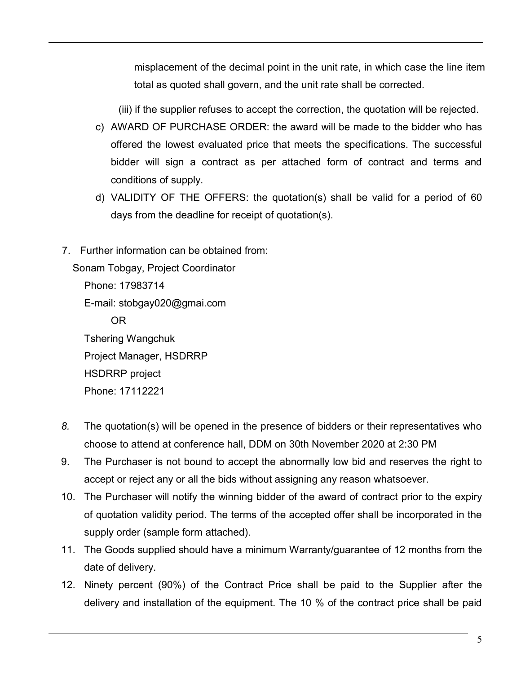misplacement of the decimal point in the unit rate, in which case the line item total as quoted shall govern, and the unit rate shall be corrected.

(iii) if the supplier refuses to accept the correction, the quotation will be rejected.

- c) AWARD OF PURCHASE ORDER: the award will be made to the bidder who has offered the lowest evaluated price that meets the specifications. The successful bidder will sign a contract as per attached form of contract and terms and conditions of supply.
- d) VALIDITY OF THE OFFERS: the quotation(s) shall be valid for a period of 60 days from the deadline for receipt of quotation(s).
- 7. Further information can be obtained from: Sonam Tobgay, Project Coordinator Phone: 17983714 E-mail: stobgay020@gmai.com OR Tshering Wangchuk Project Manager, HSDRRP HSDRRP project Phone: 17112221
- *8.* The quotation(s) will be opened in the presence of bidders or their representatives who choose to attend at conference hall, DDM on 30th November 2020 at 2:30 PM
- 9. The Purchaser is not bound to accept the abnormally low bid and reserves the right to accept or reject any or all the bids without assigning any reason whatsoever.
- 10. The Purchaser will notify the winning bidder of the award of contract prior to the expiry of quotation validity period. The terms of the accepted offer shall be incorporated in the supply order (sample form attached).
- 11. The Goods supplied should have a minimum Warranty/guarantee of 12 months from the date of delivery.
- 12. Ninety percent (90%) of the Contract Price shall be paid to the Supplier after the delivery and installation of the equipment. The 10 % of the contract price shall be paid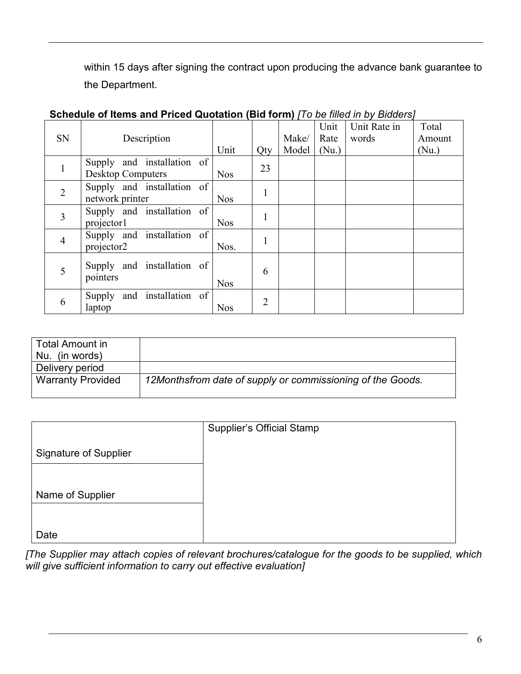within 15 days after signing the contract upon producing the advance bank guarantee to the Department.

|                |                               |            |                |       | Unit  | Unit Rate in | Total  |
|----------------|-------------------------------|------------|----------------|-------|-------|--------------|--------|
| <b>SN</b>      | Description                   |            |                | Make/ | Rate  | words        | Amount |
|                |                               | Unit       | Qty            | Model | (Nu.) |              | (Nu.)  |
|                | Supply and installation of    |            | 23             |       |       |              |        |
|                | <b>Desktop Computers</b>      | <b>Nos</b> |                |       |       |              |        |
| $\overline{2}$ | Supply and installation of    |            |                |       |       |              |        |
|                | network printer               | <b>Nos</b> | 1              |       |       |              |        |
| 3              | Supply and installation of    |            |                |       |       |              |        |
|                | projector1                    | <b>Nos</b> |                |       |       |              |        |
| $\overline{4}$ | Supply and installation of    |            |                |       |       |              |        |
|                | projector2                    | Nos.       |                |       |       |              |        |
|                | Supply and installation of    |            |                |       |       |              |        |
| 5              | pointers                      |            | 6              |       |       |              |        |
|                |                               | <b>Nos</b> |                |       |       |              |        |
| 6              | and installation of<br>Supply |            | $\overline{2}$ |       |       |              |        |
|                | laptop                        | <b>Nos</b> |                |       |       |              |        |

### **Schedule of Items and Priced Quotation (Bid form)** *[To be filled in by Bidders]*

| Total Amount in<br>Nu. (in words) |                                                            |
|-----------------------------------|------------------------------------------------------------|
| Delivery period                   |                                                            |
| <b>Warranty Provided</b>          | 12Monthsfrom date of supply or commissioning of the Goods. |

|                              | <b>Supplier's Official Stamp</b> |
|------------------------------|----------------------------------|
| <b>Signature of Supplier</b> |                                  |
|                              |                                  |
| Name of Supplier             |                                  |
|                              |                                  |
| Date                         |                                  |

*[The Supplier may attach copies of relevant brochures/catalogue for the goods to be supplied, which will give sufficient information to carry out effective evaluation]*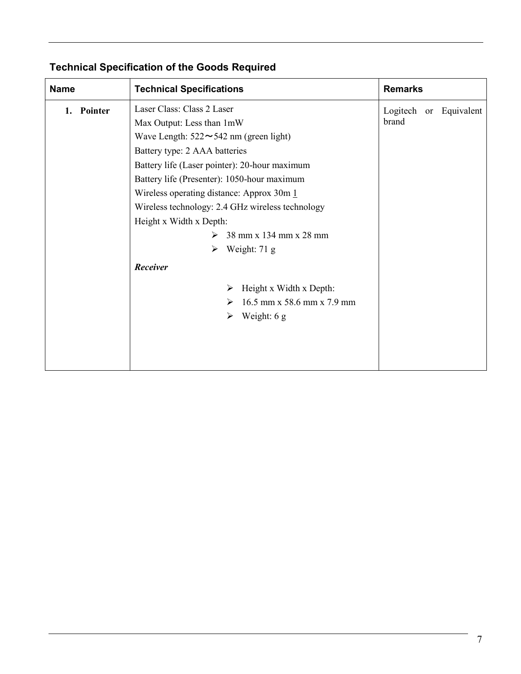| <b>Name</b>               | <b>Technical Specifications</b>                                                                                                                                                                                                                                                                                                                                                                                                                                                                                                                                        | <b>Remarks</b>                  |
|---------------------------|------------------------------------------------------------------------------------------------------------------------------------------------------------------------------------------------------------------------------------------------------------------------------------------------------------------------------------------------------------------------------------------------------------------------------------------------------------------------------------------------------------------------------------------------------------------------|---------------------------------|
| Pointer<br>$\mathbf{1}$ . | Laser Class: Class 2 Laser<br>Max Output: Less than 1mW<br>Wave Length: $522 \sim 542$ nm (green light)<br>Battery type: 2 AAA batteries<br>Battery life (Laser pointer): 20-hour maximum<br>Battery life (Presenter): 1050-hour maximum<br>Wireless operating distance: Approx $30m \underline{1}$<br>Wireless technology: 2.4 GHz wireless technology<br>Height x Width x Depth:<br>38 mm x 134 mm x 28 mm<br>$\triangleright$ Weight: 71 g<br>Receiver<br>Height x Width x Depth:<br>➤<br>$16.5$ mm x 58.6 mm x 7.9 mm<br>➤<br>Weight: 6 g<br>$\blacktriangleright$ | Logitech or Equivalent<br>brand |

### **Technical Specification of the Goods Required**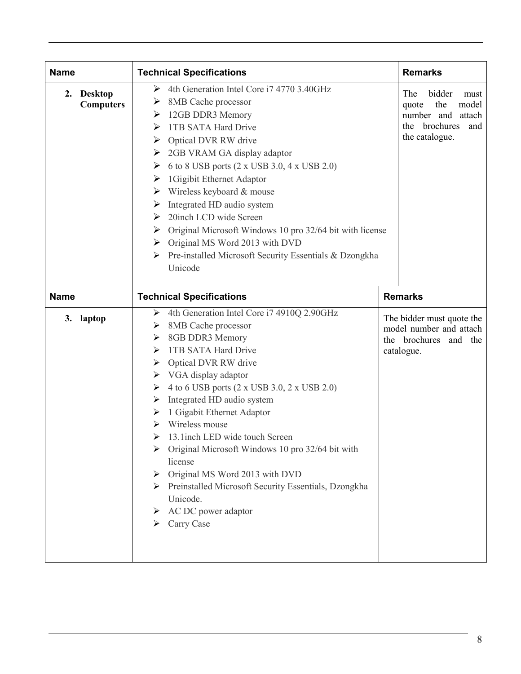| <b>Name</b> |                                    | <b>Technical Specifications</b>                                                                                                                                                                                                                                                                                                                                                                                                                                                                                                                                                                           | <b>Remarks</b>                                                                              |
|-------------|------------------------------------|-----------------------------------------------------------------------------------------------------------------------------------------------------------------------------------------------------------------------------------------------------------------------------------------------------------------------------------------------------------------------------------------------------------------------------------------------------------------------------------------------------------------------------------------------------------------------------------------------------------|---------------------------------------------------------------------------------------------|
| 2.          | <b>Desktop</b><br><b>Computers</b> | bidder<br>The<br>must<br>the<br>model<br>quote<br>number and<br>attach<br>the brochures<br>and<br>the catalogue.<br>Original Microsoft Windows 10 pro 32/64 bit with license                                                                                                                                                                                                                                                                                                                                                                                                                              |                                                                                             |
| <b>Name</b> |                                    | <b>Technical Specifications</b>                                                                                                                                                                                                                                                                                                                                                                                                                                                                                                                                                                           | <b>Remarks</b>                                                                              |
| 3. laptop   |                                    | 4th Generation Intel Core i7 4910Q 2.90GHz<br>➤<br>8MB Cache processor<br>➤<br>8GB DDR3 Memory<br>➤<br>1TB SATA Hard Drive<br>➤<br>Optical DVR RW drive<br>➤<br>VGA display adaptor<br>➤<br>4 to 6 USB ports (2 x USB 3.0, 2 x USB 2.0)<br>➤<br>Integrated HD audio system<br>➤<br>1 Gigabit Ethernet Adaptor<br>➤<br>Wireless mouse<br>⋗<br>13.1inch LED wide touch Screen<br>≻<br>Original Microsoft Windows 10 pro 32/64 bit with<br>license<br>Original MS Word 2013 with DVD<br>➤<br>Preinstalled Microsoft Security Essentials, Dzongkha<br>➤<br>Unicode.<br>AC DC power adaptor<br>➤<br>Carry Case | The bidder must quote the<br>model number and attach<br>the brochures and the<br>catalogue. |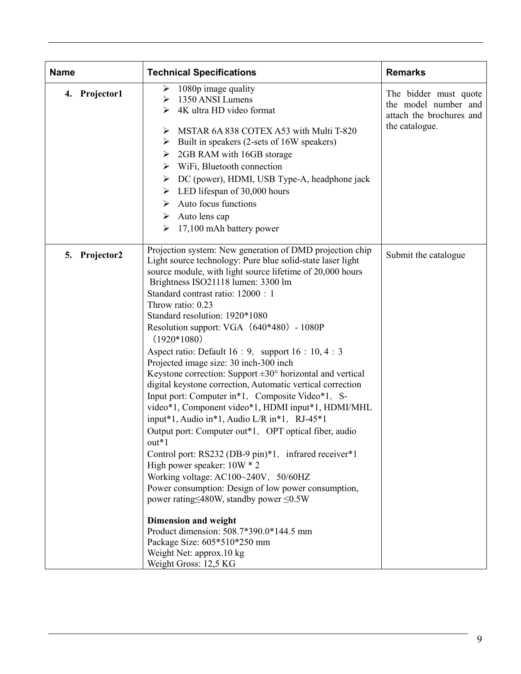| <b>Name</b>   | <b>Technical Specifications</b>                                                                                                                                                                                                                                                                                                                                                                                                                                                                                                                                                                                                                                                                                                                                                                                                                                                                                                                                                                                                                                                                                                                                                                                                                                           | <b>Remarks</b>                                                                              |
|---------------|---------------------------------------------------------------------------------------------------------------------------------------------------------------------------------------------------------------------------------------------------------------------------------------------------------------------------------------------------------------------------------------------------------------------------------------------------------------------------------------------------------------------------------------------------------------------------------------------------------------------------------------------------------------------------------------------------------------------------------------------------------------------------------------------------------------------------------------------------------------------------------------------------------------------------------------------------------------------------------------------------------------------------------------------------------------------------------------------------------------------------------------------------------------------------------------------------------------------------------------------------------------------------|---------------------------------------------------------------------------------------------|
| 4. Projector1 | 1080p image quality<br>➤<br>1350 ANSI Lumens<br>➤<br>4K ultra HD video format<br>➤<br>MSTAR 6A 838 COTEX A53 with Multi T-820<br>➤<br>Built in speakers (2-sets of 16W speakers)<br>➤<br>2GB RAM with 16GB storage<br>➤<br>WiFi, Bluetooth connection<br>➤<br>DC (power), HDMI, USB Type-A, headphone jack<br>➤<br>LED lifespan of 30,000 hours<br>➤<br>Auto focus functions<br>➤<br>Auto lens cap<br>➤<br>17,100 mAh battery power<br>➤                                                                                                                                                                                                                                                                                                                                                                                                                                                                                                                                                                                                                                                                                                                                                                                                                                  | The bidder must quote<br>the model number and<br>attach the brochures and<br>the catalogue. |
| 5. Projector2 | Projection system: New generation of DMD projection chip<br>Light source technology: Pure blue solid-state laser light<br>source module, with light source lifetime of 20,000 hours<br>Brightness ISO21118 lumen: 3300 lm<br>Standard contrast ratio: 12000 : 1<br>Throw ratio: 0.23<br>Standard resolution: 1920*1080<br>Resolution support: VGA (640*480) - 1080P<br>$(1920*1080)$<br>Aspect ratio: Default $16:9$ , support $16:10, 4:3$<br>Projected image size: 30 inch-300 inch<br>Keystone correction: Support $\pm 30^{\circ}$ horizontal and vertical<br>digital keystone correction, Automatic vertical correction<br>Input port: Computer in*1, Composite Video*1, S-<br>video*1, Component video*1, HDMI input*1, HDMI/MHL<br>input*1, Audio in*1, Audio L/R in*1, RJ-45*1<br>Output port: Computer out*1, OPT optical fiber, audio<br>$out*1$<br>Control port: RS232 (DB-9 pin)*1, infrared receiver*1<br>High power speaker: $10W * 2$<br>Working voltage: AC100~240V, 50/60HZ<br>Power consumption: Design of low power consumption,<br>power rating $\leq$ 480W, standby power $\leq$ 0.5W<br><b>Dimension and weight</b><br>Product dimension: 508.7*390.0*144.5 mm<br>Package Size: 605*510*250 mm<br>Weight Net: approx.10 kg<br>Weight Gross: 12,5 KG | Submit the catalogue                                                                        |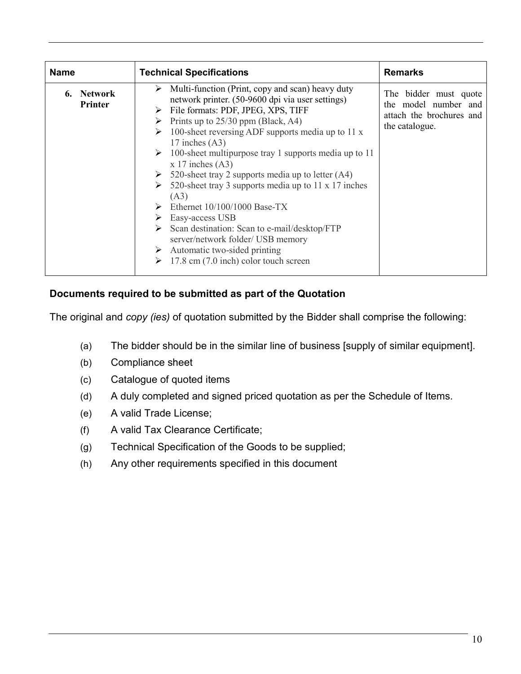| <b>Name</b>                     | <b>Technical Specifications</b>                                                                                                                                                                                                                                                                                                                                                                                                                                                                                                                                                                                                                                                                                                                                                          | <b>Remarks</b>                                                                              |
|---------------------------------|------------------------------------------------------------------------------------------------------------------------------------------------------------------------------------------------------------------------------------------------------------------------------------------------------------------------------------------------------------------------------------------------------------------------------------------------------------------------------------------------------------------------------------------------------------------------------------------------------------------------------------------------------------------------------------------------------------------------------------------------------------------------------------------|---------------------------------------------------------------------------------------------|
| Network<br>6.<br><b>Printer</b> | Multi-function (Print, copy and scan) heavy duty<br>➤<br>network printer. (50-9600 dpi via user settings)<br>> File formats: PDF, JPEG, XPS, TIFF<br>$\triangleright$ Prints up to 25/30 ppm (Black, A4)<br>100-sheet reversing ADF supports media up to 11 $x$<br>➤<br>17 inches $(A3)$<br>100-sheet multipurpose tray 1 supports media up to 11<br>➤<br>$x 17$ inches (A3)<br>$\triangleright$ 520-sheet tray 2 supports media up to letter (A4)<br>520-sheet tray 3 supports media up to 11 x 17 inches<br>(A3)<br>Ethernet $10/100/1000$ Base-TX<br>$\triangleright$ Easy-access USB<br>$\triangleright$ Scan destination: Scan to e-mail/desktop/FTP<br>server/network folder/ USB memory<br>$\triangleright$ Automatic two-sided printing<br>17.8 cm (7.0 inch) color touch screen | The bidder must quote<br>the model number and<br>attach the brochures and<br>the catalogue. |

#### **Documents required to be submitted as part of the Quotation**

The original and *copy (ies)* of quotation submitted by the Bidder shall comprise the following:

- (a) The bidder should be in the similar line of business [supply of similar equipment].
- (b) Compliance sheet
- (c) Catalogue of quoted items
- (d) A duly completed and signed priced quotation as per the Schedule of Items.
- (e) A valid Trade License;
- (f) A valid Tax Clearance Certificate;
- (g) Technical Specification of the Goods to be supplied;
- (h) Any other requirements specified in this document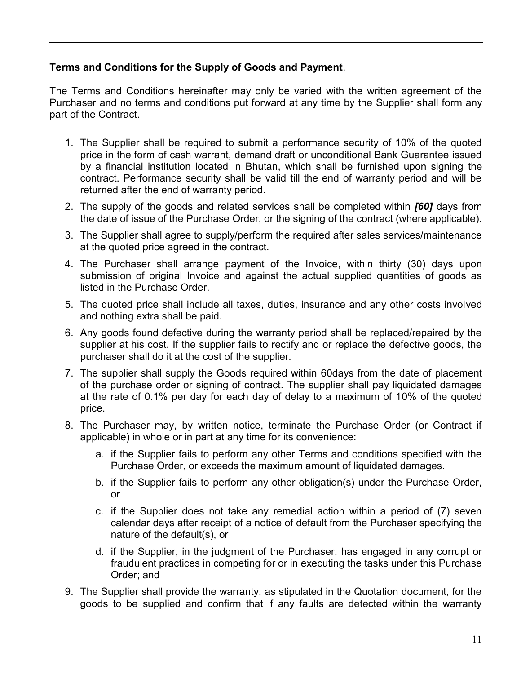#### **Terms and Conditions for the Supply of Goods and Payment**.

The Terms and Conditions hereinafter may only be varied with the written agreement of the Purchaser and no terms and conditions put forward at any time by the Supplier shall form any part of the Contract.

- 1. The Supplier shall be required to submit a performance security of 10% of the quoted price in the form of cash warrant, demand draft or unconditional Bank Guarantee issued by a financial institution located in Bhutan, which shall be furnished upon signing the contract. Performance security shall be valid till the end of warranty period and will be returned after the end of warranty period.
- 2. The supply of the goods and related services shall be completed within *[60]* days from the date of issue of the Purchase Order, or the signing of the contract (where applicable).
- 3. The Supplier shall agree to supply/perform the required after sales services/maintenance at the quoted price agreed in the contract.
- 4. The Purchaser shall arrange payment of the Invoice, within thirty (30) days upon submission of original Invoice and against the actual supplied quantities of goods as listed in the Purchase Order.
- 5. The quoted price shall include all taxes, duties, insurance and any other costs involved and nothing extra shall be paid.
- 6. Any goods found defective during the warranty period shall be replaced/repaired by the supplier at his cost. If the supplier fails to rectify and or replace the defective goods, the purchaser shall do it at the cost of the supplier.
- 7. The supplier shall supply the Goods required within 60days from the date of placement of the purchase order or signing of contract. The supplier shall pay liquidated damages at the rate of 0.1% per day for each day of delay to a maximum of 10% of the quoted price.
- 8. The Purchaser may, by written notice, terminate the Purchase Order (or Contract if applicable) in whole or in part at any time for its convenience:
	- a. if the Supplier fails to perform any other Terms and conditions specified with the Purchase Order, or exceeds the maximum amount of liquidated damages.
	- b. if the Supplier fails to perform any other obligation(s) under the Purchase Order, or
	- c. if the Supplier does not take any remedial action within a period of (7) seven calendar days after receipt of a notice of default from the Purchaser specifying the nature of the default(s), or
	- d. if the Supplier, in the judgment of the Purchaser, has engaged in any corrupt or fraudulent practices in competing for or in executing the tasks under this Purchase Order; and
- 9. The Supplier shall provide the warranty, as stipulated in the Quotation document, for the goods to be supplied and confirm that if any faults are detected within the warranty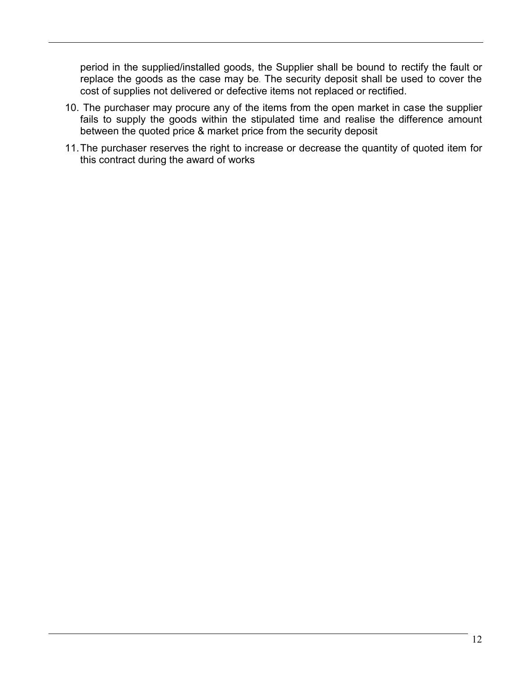period in the supplied/installed goods, the Supplier shall be bound to rectify the fault or replace the goods as the case may be. The security deposit shall be used to cover the cost of supplies not delivered or defective items not replaced or rectified.

- 10. The purchaser may procure any of the items from the open market in case the supplier fails to supply the goods within the stipulated time and realise the difference amount between the quoted price & market price from the security deposit
- 11.The purchaser reserves the right to increase or decrease the quantity of quoted item for this contract during the award of works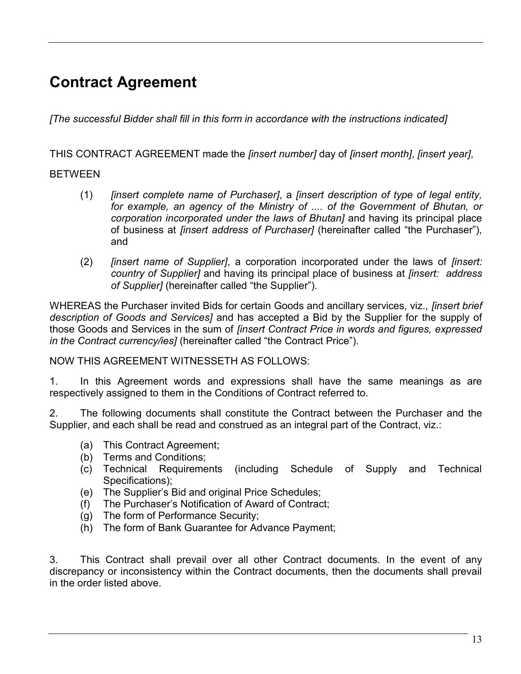### **Contract Agreement**

*[The successful Bidder shall fill in this form in accordance with the instructions indicated]*

THIS CONTRACT AGREEMENT made the *[insert number]* day of *[insert month]*, *[insert year]*,

#### BETWEEN

- (1) *[insert complete name of Purchaser]*, a *[insert description of type of legal entity, for example, an agency of the Ministry of .... of the Government of Bhutan, or corporation incorporated under the laws of Bhutan]* and having its principal place of business at *[insert address of Purchaser]* (hereinafter called "the Purchaser"), and
- (2) *[insert name of Supplier]*, a corporation incorporated under the laws of *[insert: country of Supplier]* and having its principal place of business at *[insert: address of Supplier]* (hereinafter called "the Supplier").

WHEREAS the Purchaser invited Bids for certain Goods and ancillary services, viz., *[insert brief description of Goods and Services]* and has accepted a Bid by the Supplier for the supply of those Goods and Services in the sum of *[insert Contract Price in words and figures, expressed in the Contract currency/ies]* (hereinafter called "the Contract Price").

NOW THIS AGREEMENT WITNESSETH AS FOLLOWS:

1. In this Agreement words and expressions shall have the same meanings as are respectively assigned to them in the Conditions of Contract referred to.

2. The following documents shall constitute the Contract between the Purchaser and the Supplier, and each shall be read and construed as an integral part of the Contract, viz.:

- (a) This Contract Agreement;
- (b) Terms and Conditions;
- (c) Technical Requirements (including Schedule of Supply and Technical Specifications);
- (e) The Supplier's Bid and original Price Schedules;
- (f) The Purchaser's Notification of Award of Contract;
- (g) The form of Performance Security;
- (h) The form of Bank Guarantee for Advance Payment;

3. This Contract shall prevail over all other Contract documents. In the event of any discrepancy or inconsistency within the Contract documents, then the documents shall prevail in the order listed above.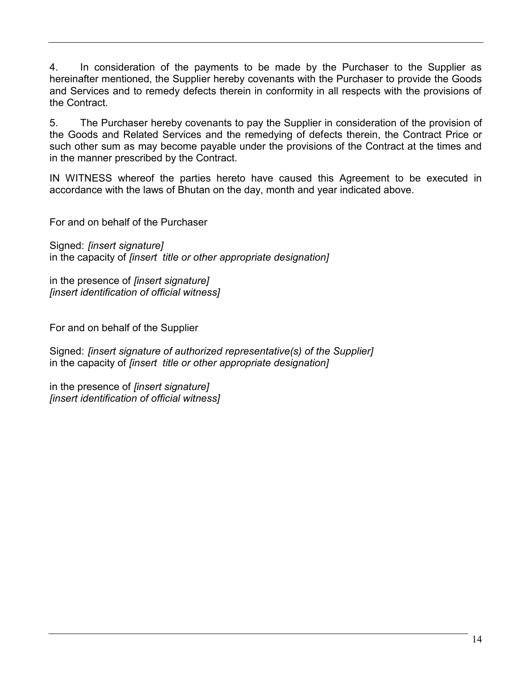4. In consideration of the payments to be made by the Purchaser to the Supplier as hereinafter mentioned, the Supplier hereby covenants with the Purchaser to provide the Goods and Services and to remedy defects therein in conformity in all respects with the provisions of the Contract.

5. The Purchaser hereby covenants to pay the Supplier in consideration of the provision of the Goods and Related Services and the remedying of defects therein, the Contract Price or such other sum as may become payable under the provisions of the Contract at the times and in the manner prescribed by the Contract.

IN WITNESS whereof the parties hereto have caused this Agreement to be executed in accordance with the laws of Bhutan on the day, month and year indicated above.

For and on behalf of the Purchaser

Signed: *[insert signature]*  in the capacity of *[insert title or other appropriate designation]*

in the presence of *[insert signature] [insert identification of official witness]*

For and on behalf of the Supplier

Signed: *[insert signature of authorized representative(s) of the Supplier]* in the capacity of *[insert title or other appropriate designation]*

in the presence of *[insert signature] [insert identification of official witness]*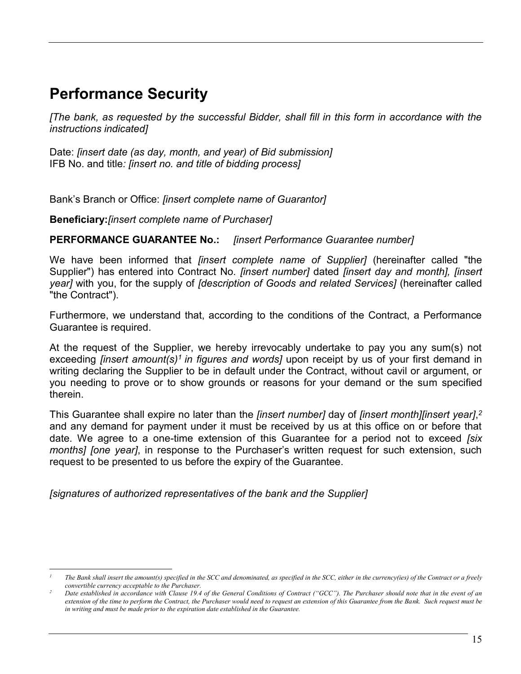### **Performance Security**

*[The bank, as requested by the successful Bidder, shall fill in this form in accordance with the instructions indicated]* 

Date: *[insert date (as day, month, and year) of Bid submission]* IFB No. and title*: [insert no. and title of bidding process]*

Bank's Branch or Office: *[insert complete name of Guarantor]*

**Beneficiary:***[insert complete name of Purchaser]*

#### **PERFORMANCE GUARANTEE No.:** *[insert Performance Guarantee number]*

We have been informed that *[insert complete name of Supplier]* (hereinafter called "the Supplier") has entered into Contract No*. [insert number]* dated *[insert day and month], [insert year]* with you, for the supply of *[description of Goods and related Services]* (hereinafter called "the Contract").

Furthermore, we understand that, according to the conditions of the Contract, a Performance Guarantee is required.

At the request of the Supplier, we hereby irrevocably undertake to pay you any sum(s) not exceeding *[insert amount(s)<sup>1</sup> in figures and words]* upon receipt by us of your first demand in writing declaring the Supplier to be in default under the Contract, without cavil or argument, or you needing to prove or to show grounds or reasons for your demand or the sum specified therein.

This Guarantee shall expire no later than the *[insert number]* day of *[insert month][insert year]*, *2* and any demand for payment under it must be received by us at this office on or before that date. We agree to a one-time extension of this Guarantee for a period not to exceed *[six months] [one year]*, in response to the Purchaser's written request for such extension, such request to be presented to us before the expiry of the Guarantee.

*[signatures of authorized representatives of the bank and the Supplier]*

 $\overline{a}$ *<sup>1</sup> The Bank shall insert the amount(s) specified in the SCC and denominated, as specified in the SCC, either in the currency(ies) of the Contract or a freely convertible currency acceptable to the Purchaser.*

*<sup>2</sup> Date established in accordance with Clause 19.4 of the General Conditions of Contract ("GCC"). The Purchaser should note that in the event of an extension of the time to perform the Contract, the Purchaser would need to request an extension of this Guarantee from the Bank. Such request must be in writing and must be made prior to the expiration date established in the Guarantee.*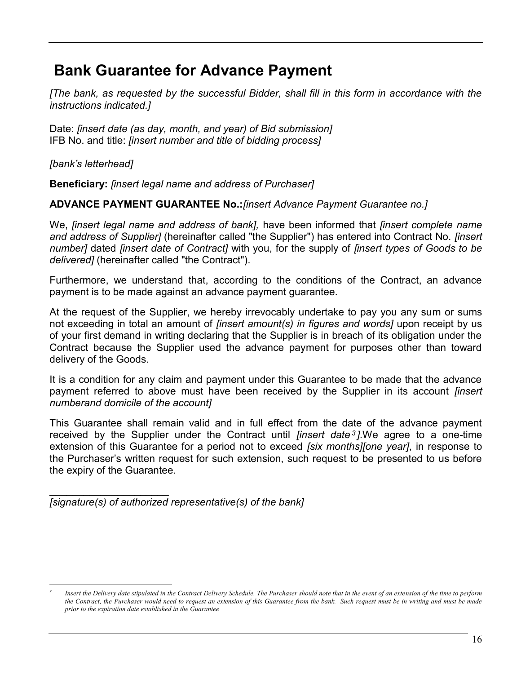### **Bank Guarantee for Advance Payment**

*[The bank, as requested by the successful Bidder, shall fill in this form in accordance with the instructions indicated.]* 

Date: *[insert date (as day, month, and year) of Bid submission]* IFB No. and title: *[insert number and title of bidding process]*

*[bank's letterhead]* 

 $\overline{a}$ 

**Beneficiary:** *[insert legal name and address of Purchaser]*

#### **ADVANCE PAYMENT GUARANTEE No.:***[insert Advance Payment Guarantee no.]*

We, *[insert legal name and address of bank],* have been informed that *[insert complete name and address of Supplier]* (hereinafter called "the Supplier") has entered into Contract No. *[insert number]* dated *[insert date of Contract]* with you, for the supply of *[insert types of Goods to be delivered]* (hereinafter called "the Contract").

Furthermore, we understand that, according to the conditions of the Contract, an advance payment is to be made against an advance payment guarantee.

At the request of the Supplier, we hereby irrevocably undertake to pay you any sum or sums not exceeding in total an amount of *[insert amount(s) in figures and words]* upon receipt by us of your first demand in writing declaring that the Supplier is in breach of its obligation under the Contract because the Supplier used the advance payment for purposes other than toward delivery of the Goods.

It is a condition for any claim and payment under this Guarantee to be made that the advance payment referred to above must have been received by the Supplier in its account *[insert numberand domicile of the account]*

This Guarantee shall remain valid and in full effect from the date of the advance payment received by the Supplier under the Contract until *[insert date <sup>3</sup> ].*We agree to a one-time extension of this Guarantee for a period not to exceed *[six months][one year]*, in response to the Purchaser's written request for such extension, such request to be presented to us before the expiry of the Guarantee.

 $\mathcal{L}_\text{max}$  , where  $\mathcal{L}_\text{max}$  , we have the set of  $\mathcal{L}_\text{max}$ *[signature(s) of authorized representative(s) of the bank]*

*<sup>3</sup> Insert the Delivery date stipulated in the Contract Delivery Schedule. The Purchaser should note that in the event of an extension of the time to perform the Contract, the Purchaser would need to request an extension of this Guarantee from the bank. Such request must be in writing and must be made prior to the expiration date established in the Guarantee*